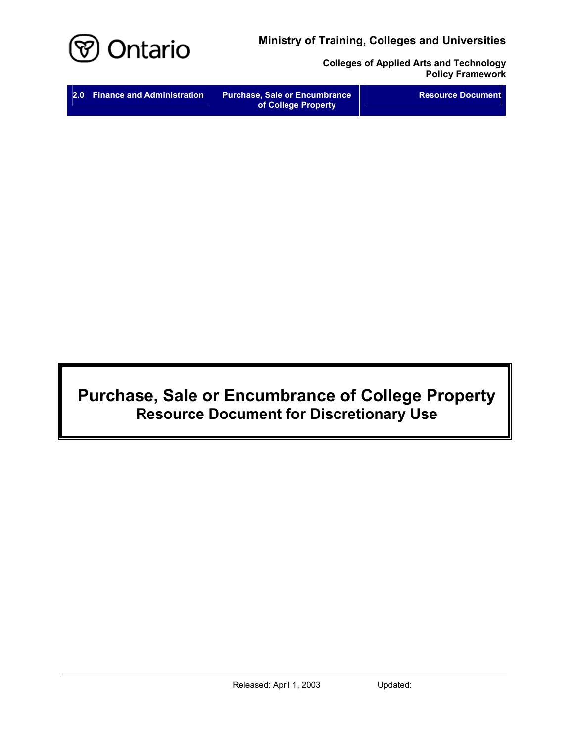**Ministry of Training, Colleges and Universities** 



**Colleges of Applied Arts and Technology Policy Framework** 

# **Purchase, Sale or Encumbrance of College Property Resource Document for Discretionary Use**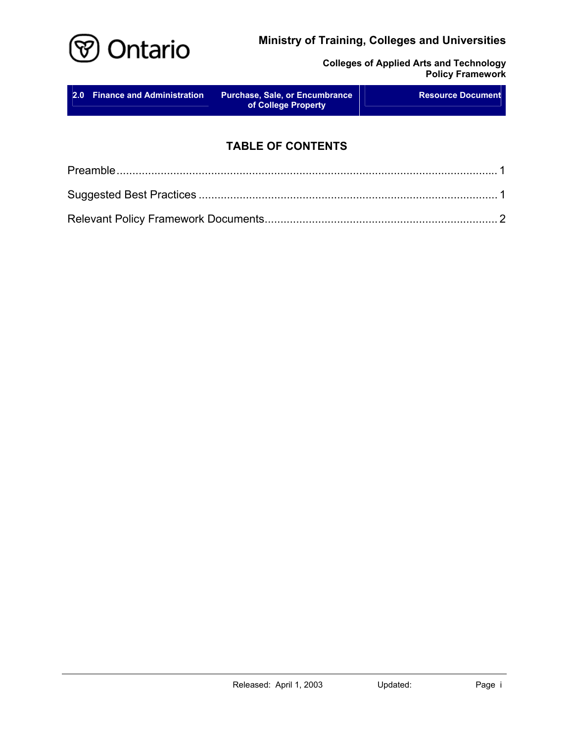## **Ministry of Training, Colleges and Universities**



**Colleges of Applied Arts and Technology Policy Framework** 

| 2.0 Finance and Administration | <b>Purchase, Sale, or Encumbrance</b><br>of College Property | <b>Resource Document</b> |
|--------------------------------|--------------------------------------------------------------|--------------------------|
|                                |                                                              |                          |

# **TABLE OF CONTENTS**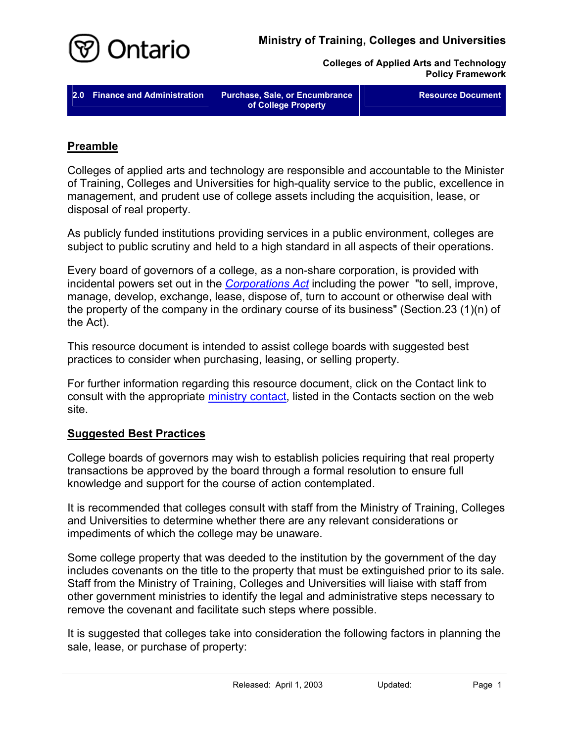

**Colleges of Applied Arts and Technology Policy Framework** 

**2.0 Finance and Administration Purchase, Sale, or Encumbrance** 

**of College Property** 

**Resource Document** 

### **Preamble**

Colleges of applied arts and technology are responsible and accountable to the Minister of Training, Colleges and Universities for high-quality service to the public, excellence in management, and prudent use of college assets including the acquisition, lease, or disposal of real property.

As publicly funded institutions providing services in a public environment, colleges are subject to public scrutiny and held to a high standard in all aspects of their operations.

Every board of governors of a college, as a non-share corporation, is provided with incidental powers set out in the *[Corporations Act](http://www.e-laws.gov.on.ca/DBLaws/Statutes/English/90c38_e.htm)* including the power "to sell, improve, manage, develop, exchange, lease, dispose of, turn to account or otherwise deal with the property of the company in the ordinary course of its business" (Section.23 (1)(n) of the Act).

This resource document is intended to assist college boards with suggested best practices to consider when purchasing, leasing, or selling property.

For further information regarding this resource document, click on the Contact link to consult with the appropriate [ministry contact,](http://caat.edu.gov.on.ca/HTMLpages/Contacts_Eng.html#Purchase_Sale_Encumbrance) listed in the Contacts section on the web site.

#### **Suggested Best Practices**

College boards of governors may wish to establish policies requiring that real property transactions be approved by the board through a formal resolution to ensure full knowledge and support for the course of action contemplated.

It is recommended that colleges consult with staff from the Ministry of Training, Colleges and Universities to determine whether there are any relevant considerations or impediments of which the college may be unaware.

Some college property that was deeded to the institution by the government of the day includes covenants on the title to the property that must be extinguished prior to its sale. Staff from the Ministry of Training, Colleges and Universities will liaise with staff from other government ministries to identify the legal and administrative steps necessary to remove the covenant and facilitate such steps where possible.

It is suggested that colleges take into consideration the following factors in planning the sale, lease, or purchase of property: